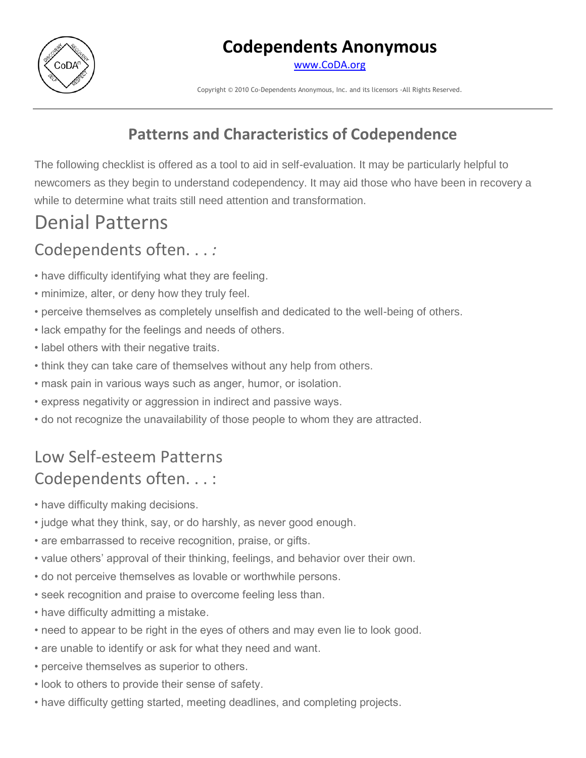

### **Codependents Anonymous**

[www.CoDA.org](http://www.coda.org/)

Copyright © 2010 Co-Dependents Anonymous, Inc. and its licensors -All Rights Reserved.

### **Patterns and Characteristics of Codependence**

The following checklist is offered as a tool to aid in self-evaluation. It may be particularly helpful to newcomers as they begin to understand codependency. It may aid those who have been in recovery a while to determine what traits still need attention and transformation.

## Denial Patterns

### Codependents often. . . *:*

- have difficulty identifying what they are feeling.
- minimize, alter, or deny how they truly feel.
- perceive themselves as completely unselfish and dedicated to the well-being of others.
- lack empathy for the feelings and needs of others.
- label others with their negative traits.
- think they can take care of themselves without any help from others.
- mask pain in various ways such as anger, humor, or isolation.
- express negativity or aggression in indirect and passive ways.
- do not recognize the unavailability of those people to whom they are attracted.

## Low Self-esteem Patterns Codependents often. . . :

- have difficulty making decisions.
- judge what they think, say, or do harshly, as never good enough.
- are embarrassed to receive recognition, praise, or gifts.
- value others' approval of their thinking, feelings, and behavior over their own.
- do not perceive themselves as lovable or worthwhile persons.
- seek recognition and praise to overcome feeling less than.
- have difficulty admitting a mistake.
- need to appear to be right in the eyes of others and may even lie to look good.
- are unable to identify or ask for what they need and want.
- perceive themselves as superior to others.
- look to others to provide their sense of safety.
- have difficulty getting started, meeting deadlines, and completing projects.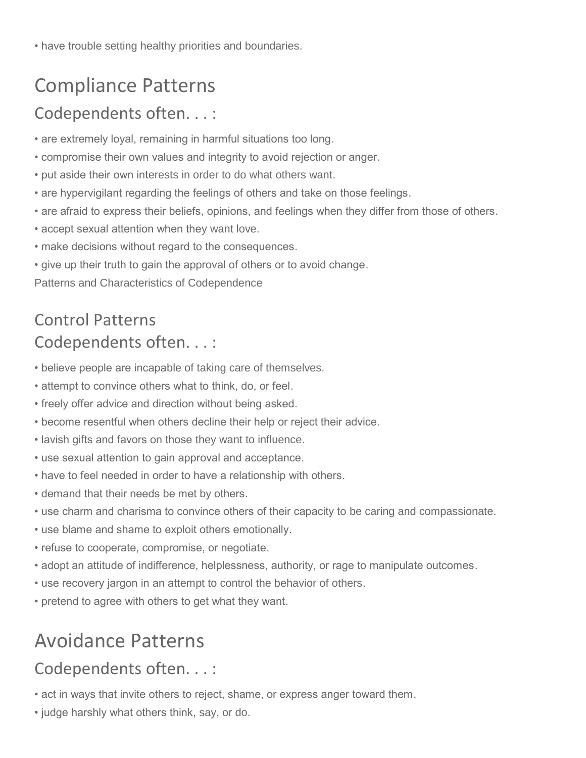• have trouble setting healthy priorities and boundaries.

# Compliance Patterns

#### Codependents often. . . :

- are extremely loyal, remaining in harmful situations too long.
- compromise their own values and integrity to avoid rejection or anger.
- put aside their own interests in order to do what others want.
- are hypervigilant regarding the feelings of others and take on those feelings.
- are afraid to express their beliefs, opinions, and feelings when they differ from those of others.
- accept sexual attention when they want love.
- make decisions without regard to the consequences.
- give up their truth to gain the approval of others or to avoid change.

Patterns and Characteristics of Codependence

## Control Patterns Codependents often. . . :

- believe people are incapable of taking care of themselves.
- attempt to convince others what to think, do, or feel.
- freely offer advice and direction without being asked.
- become resentful when others decline their help or reject their advice.
- lavish gifts and favors on those they want to influence.
- use sexual attention to gain approval and acceptance.
- have to feel needed in order to have a relationship with others.
- demand that their needs be met by others.
- use charm and charisma to convince others of their capacity to be caring and compassionate.
- use blame and shame to exploit others emotionally.
- refuse to cooperate, compromise, or negotiate.
- adopt an attitude of indifference, helplessness, authority, or rage to manipulate outcomes.
- use recovery jargon in an attempt to control the behavior of others.
- pretend to agree with others to get what they want.

# Avoidance Patterns

#### Codependents often. . . :

- act in ways that invite others to reject, shame, or express anger toward them.
- judge harshly what others think, say, or do.